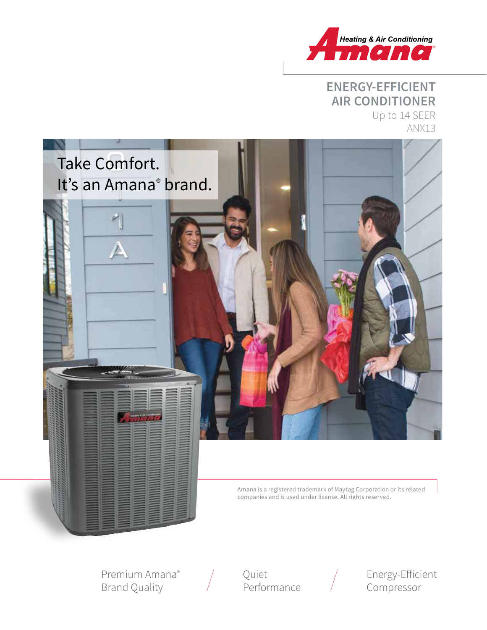

# **ENERGY-EFFICIENT AIR CONDITIONER** Up to 14 SEER



Amana is a registered trademark of Maytag Corporation or its related companies and is used under license. All rights reserved.

Premium Amana® Brand Quality

Quiet **Performance** 



Energy-Efficient Compressor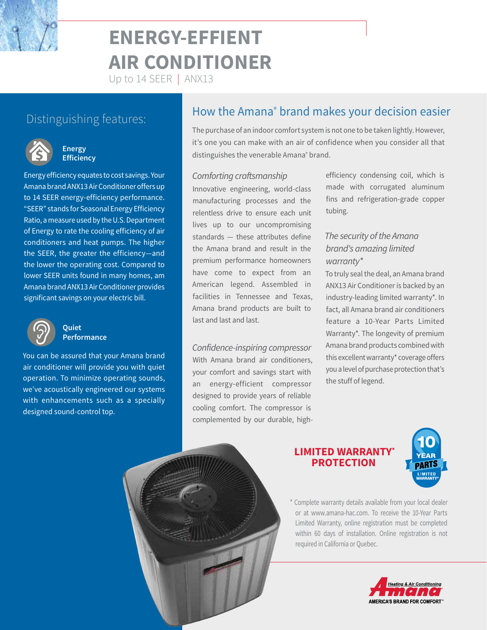# **ENERGY-EFFIENT AIR CONDITIONER**

Up to 14 SEER | ANX13



#### **Energy Efficiency**

Energy efficiency equates to cost savings. Your Amana brand ANX13 Air Conditioner offers up to 14 SEER energy-efficiency performance. "SEER" stands for Seasonal Energy Efficiency Ratio, a measure used by the U.S. Department of Energy to rate the cooling efficiency of air conditioners and heat pumps. The higher the SEER, the greater the efficiency—and the lower the operating cost. Compared to lower SEER units found in many homes, am Amana brand ANX13 Air Conditioner provides significant savings on your electric bill.



#### **Quiet Performance**

You can be assured that your Amana brand air conditioner will provide you with quiet operation. To minimize operating sounds, we've acoustically engineered our systems with enhancements such as a specially designed sound-control top.

# Distinguishing features: **How the Amana<sup>®</sup> brand makes your decision easier** Distinguishing features:

The purchase of an indoor comfort system is not one to be taken lightly. However, it's one you can make with an air of confidence when you consider all that distinguishes the venerable Amana® brand.

#### *Comforting craftsmanship*

Innovative engineering, world-class manufacturing processes and the relentless drive to ensure each unit lives up to our uncompromising standards — these attributes define the Amana brand and result in the premium performance homeowners have come to expect from an American legend. Assembled in facilities in Tennessee and Texas, Amana brand products are built to last and last and last.

*Confidence-inspiring compressor* With Amana brand air conditioners, your comfort and savings start with an energy-efficient compressor designed to provide years of reliable cooling comfort. The compressor is complemented by our durable, highefficiency condensing coil, which is made with corrugated aluminum fins and refrigeration-grade copper tubing.

# *The security of the Amana brand's amazing limited warranty\**

To truly seal the deal, an Amana brand ANX13 Air Conditioner is backed by an industry-leading limited warranty\*. In fact, all Amana brand air conditioners feature a 10-Year Parts Limited Warranty\*. The longevity of premium Amana brand products combined with this excellent warranty\* coverage offers you a level of purchase protection that's the stuff of legend.

# **LIMITED WARRANTY\* PROTECTION**



\* Complete warranty details available from your local dealer or at www.amana-hac.com. To receive the 10-Year Parts Limited Warranty, online registration must be completed within 60 days of installation. Online registration is not required in California or Quebec.

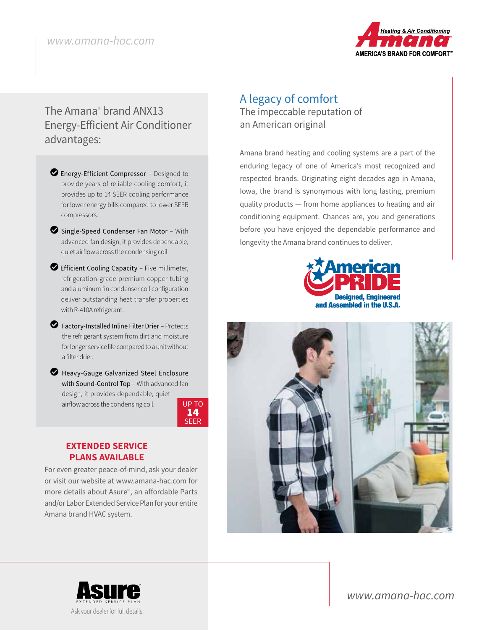

# The Amana® brand ANX13 Energy-Efficient Air Conditioner advantages:

- **D** Energy-Efficient Compressor Designed to provide years of reliable cooling comfort, it provides up to 14 SEER cooling performance for lower energy bills compared to lower SEER compressors.
- $\bullet$  Single-Speed Condenser Fan Motor With advanced fan design, it provides dependable, quiet airflow across the condensing coil.
- $\bullet$  Efficient Cooling Capacity Five millimeter, refrigeration-grade premium copper tubing and aluminum fin condenser coil configuration deliver outstanding heat transfer properties with R-410A refrigerant.
- LFactory-Installed Inline Filter Drier Protects the refrigerant system from dirt and moisture for longer service life compared to a unit without a filter drier.
- Heavy-Gauge Galvanized Steel Enclosure with Sound-Control Top - With advanced fan design, it provides dependable, quiet airflow across the condensing coil. UP TO

14 SEER

## **EXTENDED SERVICE PLANS AVAILABLE**

For even greater peace-of-mind, ask your dealer or visit our website at www.amana-hac.com for more details about Asure℠, an affordable Parts and/or Labor Extended Service Plan for your entire Amana brand HVAC system.

# A legacy of comfort The impeccable reputation of an American original

Amana brand heating and cooling systems are a part of the enduring legacy of one of America's most recognized and respected brands. Originating eight decades ago in Amana, Iowa, the brand is synonymous with long lasting, premium quality products — from home appliances to heating and air conditioning equipment. Chances are, you and generations before you have enjoyed the dependable performance and longevity the Amana brand continues to deliver.